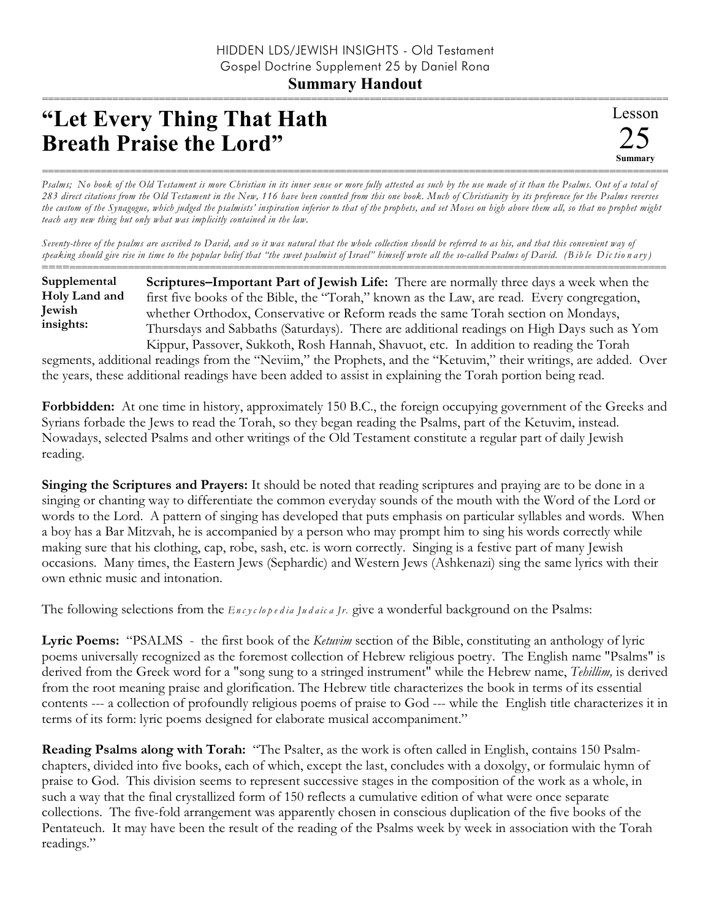## **Summary Handout** ===========================================================================================================

## **"Let Every Thing That Hath Breath Praise the Lord"**

*Psalms; No book of the Old Testament is more Christian in its inner sense or more fully attested as such by the use made of it than the Psalms. Out of a total of 283 direct citations from the Old Testament in the New, 116 have been counted from this one book. Much of Christianity by its preference for the Psalms reverses the custom of the Synagogue, which judged the psalmists' inspiration inferior to that of the prophets, and set Moses on high above them all, so that no prophet might teach any new thing but only what was implicitly contained in the law.*

*Seventy-three of the psalms are ascribed to David, and so it was natural that the whole collection should be referred to as his, and that this convenient way of speaking should give rise in time to the popular belief that "the sweet psalmist of Israel" himself wrote all the so-called Psalms of David. (B ib le Dic tio n a ry )*

========================================================================================================== **Scriptures–Important Part of Jewish Life:** There are normally three days a week when the first five books of the Bible, the "Torah," known as the Law, are read. Every congregation, whether Orthodox, Conservative or Reform reads the same Torah section on Mondays, Thursdays and Sabbaths (Saturdays). There are additional readings on High Days such as Yom Kippur, Passover, Sukkoth, Rosh Hannah, Shavuot, etc. In addition to reading the Torah **Supplemental Holy Land and Jewish insights:**

segments, additional readings from the "Neviim," the Prophets, and the "Ketuvim," their writings, are added. Over the years, these additional readings have been added to assist in explaining the Torah portion being read.

**Forbbidden:** At one time in history, approximately 150 B.C., the foreign occupying government of the Greeks and Syrians forbade the Jews to read the Torah, so they began reading the Psalms, part of the Ketuvim, instead. Nowadays, selected Psalms and other writings of the Old Testament constitute a regular part of daily Jewish reading.

**Singing the Scriptures and Prayers:** It should be noted that reading scriptures and praying are to be done in a singing or chanting way to differentiate the common everyday sounds of the mouth with the Word of the Lord or words to the Lord. A pattern of singing has developed that puts emphasis on particular syllables and words. When a boy has a Bar Mitzvah, he is accompanied by a person who may prompt him to sing his words correctly while making sure that his clothing, cap, robe, sash, etc. is worn correctly. Singing is a festive part of many Jewish occasions. Many times, the Eastern Jews (Sephardic) and Western Jews (Ashkenazi) sing the same lyrics with their own ethnic music and intonation.

The following selections from the *En c y c lo p e d ia Ju d a ic a Jr.* give a wonderful background on the Psalms:

**Lyric Poems:** "PSALMS - the first book of the *Ketuvim* section of the Bible, constituting an anthology of lyric poems universally recognized as the foremost collection of Hebrew religious poetry. The English name "Psalms" is derived from the Greek word for a "song sung to a stringed instrument" while the Hebrew name, *Tehillim,* is derived from the root meaning praise and glorification. The Hebrew title characterizes the book in terms of its essential contents --- a collection of profoundly religious poems of praise to God --- while the English title characterizes it in terms of its form: lyric poems designed for elaborate musical accompaniment."

**Reading Psalms along with Torah:** "The Psalter, as the work is often called in English, contains 150 Psalmchapters, divided into five books, each of which, except the last, concludes with a doxolgy, or formulaic hymn of praise to God. This division seems to represent successive stages in the composition of the work as a whole, in such a way that the final crystallized form of 150 reflects a cumulative edition of what were once separate collections. The five-fold arrangement was apparently chosen in conscious duplication of the five books of the Pentateuch. It may have been the result of the reading of the Psalms week by week in association with the Torah readings."